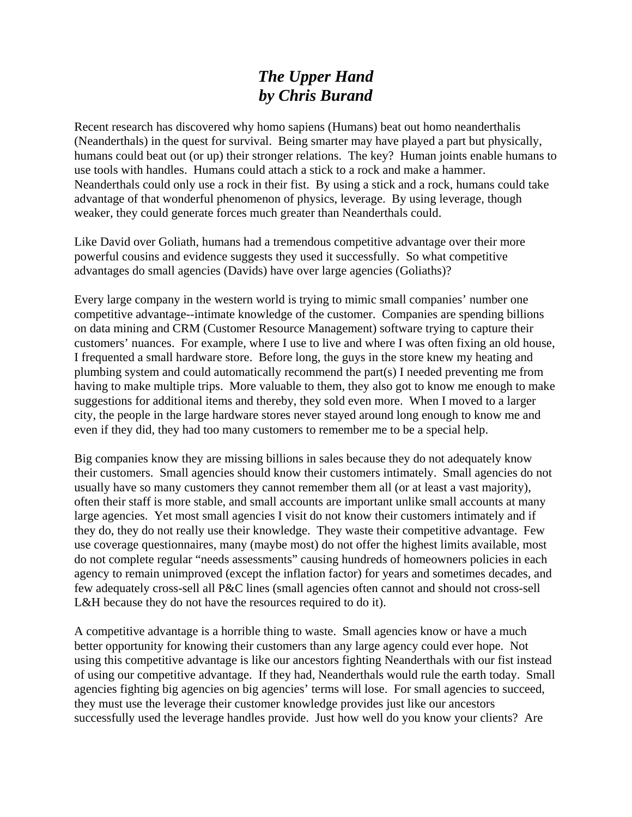## *The Upper Hand by Chris Burand*

Recent research has discovered why homo sapiens (Humans) beat out homo neanderthalis (Neanderthals) in the quest for survival. Being smarter may have played a part but physically, humans could beat out (or up) their stronger relations. The key? Human joints enable humans to use tools with handles. Humans could attach a stick to a rock and make a hammer. Neanderthals could only use a rock in their fist. By using a stick and a rock, humans could take advantage of that wonderful phenomenon of physics, leverage. By using leverage, though weaker, they could generate forces much greater than Neanderthals could.

Like David over Goliath, humans had a tremendous competitive advantage over their more powerful cousins and evidence suggests they used it successfully. So what competitive advantages do small agencies (Davids) have over large agencies (Goliaths)?

Every large company in the western world is trying to mimic small companies' number one competitive advantage--intimate knowledge of the customer. Companies are spending billions on data mining and CRM (Customer Resource Management) software trying to capture their customers' nuances. For example, where I use to live and where I was often fixing an old house, I frequented a small hardware store. Before long, the guys in the store knew my heating and plumbing system and could automatically recommend the part(s) I needed preventing me from having to make multiple trips. More valuable to them, they also got to know me enough to make suggestions for additional items and thereby, they sold even more. When I moved to a larger city, the people in the large hardware stores never stayed around long enough to know me and even if they did, they had too many customers to remember me to be a special help.

Big companies know they are missing billions in sales because they do not adequately know their customers. Small agencies should know their customers intimately. Small agencies do not usually have so many customers they cannot remember them all (or at least a vast majority), often their staff is more stable, and small accounts are important unlike small accounts at many large agencies. Yet most small agencies I visit do not know their customers intimately and if they do, they do not really use their knowledge. They waste their competitive advantage. Few use coverage questionnaires, many (maybe most) do not offer the highest limits available, most do not complete regular "needs assessments" causing hundreds of homeowners policies in each agency to remain unimproved (except the inflation factor) for years and sometimes decades, and few adequately cross-sell all P&C lines (small agencies often cannot and should not cross-sell L&H because they do not have the resources required to do it).

A competitive advantage is a horrible thing to waste. Small agencies know or have a much better opportunity for knowing their customers than any large agency could ever hope. Not using this competitive advantage is like our ancestors fighting Neanderthals with our fist instead of using our competitive advantage. If they had, Neanderthals would rule the earth today. Small agencies fighting big agencies on big agencies' terms will lose. For small agencies to succeed, they must use the leverage their customer knowledge provides just like our ancestors successfully used the leverage handles provide. Just how well do you know your clients? Are